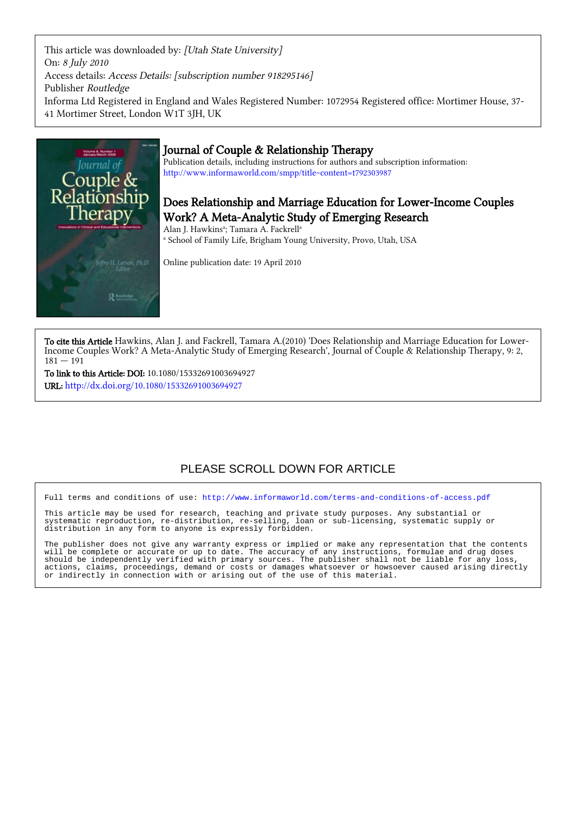This article was downloaded by: [Utah State University] On: 8 July 2010 Access details: Access Details: [subscription number 918295146] Publisher Routledge Informa Ltd Registered in England and Wales Registered Number: 1072954 Registered office: Mortimer House, 37- 41 Mortimer Street, London W1T 3JH, UK



## Journal of Couple & Relationship Therapy

Publication details, including instructions for authors and subscription information: <http://www.informaworld.com/smpp/title~content=t792303987>

## Does Relationship and Marriage Education for Lower-Income Couples Work? A Meta-Analytic Study of Emerging Research

Alan J. Hawkins<sup>a</sup>; Tamara A. Fackrell<sup>a</sup> a School of Family Life, Brigham Young University, Provo, Utah, USA

Online publication date: 19 April 2010

To cite this Article Hawkins, Alan J. and Fackrell, Tamara A.(2010) 'Does Relationship and Marriage Education for Lower-Income Couples Work? A Meta-Analytic Study of Emerging Research', Journal of Couple & Relationship Therapy, 9: 2,  $181 - 191$ 

To link to this Article: DOI: 10.1080/15332691003694927 URL: <http://dx.doi.org/10.1080/15332691003694927>

# PLEASE SCROLL DOWN FOR ARTICLE

Full terms and conditions of use:<http://www.informaworld.com/terms-and-conditions-of-access.pdf>

This article may be used for research, teaching and private study purposes. Any substantial or systematic reproduction, re-distribution, re-selling, loan or sub-licensing, systematic supply or distribution in any form to anyone is expressly forbidden.

The publisher does not give any warranty express or implied or make any representation that the contents will be complete or accurate or up to date. The accuracy of any instructions, formulae and drug doses should be independently verified with primary sources. The publisher shall not be liable for any loss, actions, claims, proceedings, demand or costs or damages whatsoever or howsoever caused arising directly or indirectly in connection with or arising out of the use of this material.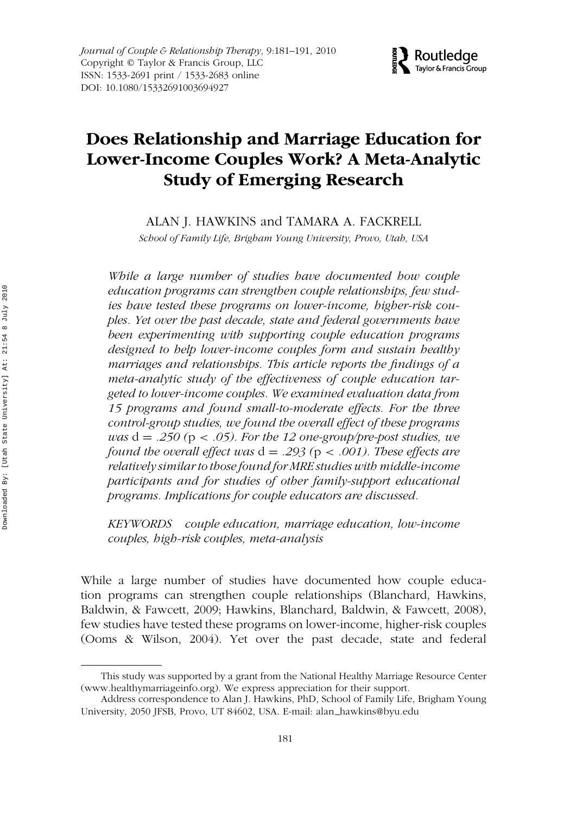

# **Does Relationship and Marriage Education for Lower-Income Couples Work? A Meta-Analytic Study of Emerging Research**

ALAN J. HAWKINS and TAMARA A. FACKRELL

*School of Family Life, Brigham Young University, Provo, Utah, USA*

*While a large number of studies have documented how couple education programs can strengthen couple relationships, few studies have tested these programs on lower-income, higher-risk couples. Yet over the past decade, state and federal governments have been experimenting with supporting couple education programs designed to help lower-income couples form and sustain healthy marriages and relationships. This article reports the findings of a meta-analytic study of the effectiveness of couple education targeted to lower-income couples. We examined evaluation data from 15 programs and found small-to-moderate effects. For the three control-group studies, we found the overall effect of these programs was* d = *.250 (*p *< .05). For the 12 one-group/pre-post studies, we found the overall effect was* d = *.293 (*p *< .001). These effects are relatively similar to those found for MRE studies with middle-income participants and for studies of other family-support educational programs. Implications for couple educators are discussed.*

*KEYWORDS couple education, marriage education, low-income couples, high-risk couples, meta-analysis*

While a large number of studies have documented how couple education programs can strengthen couple relationships (Blanchard, Hawkins, Baldwin, & Fawcett, 2009; Hawkins, Blanchard, Baldwin, & Fawcett, 2008), few studies have tested these programs on lower-income, higher-risk couples (Ooms & Wilson, 2004). Yet over the past decade, state and federal

This study was supported by a grant from the National Healthy Marriage Resource Center (www.healthymarriageinfo.org). We express appreciation for their support.

Address correspondence to Alan J. Hawkins, PhD, School of Family Life, Brigham Young University, 2050 JFSB, Provo, UT 84602, USA. E-mail: alan hawkins@byu.edu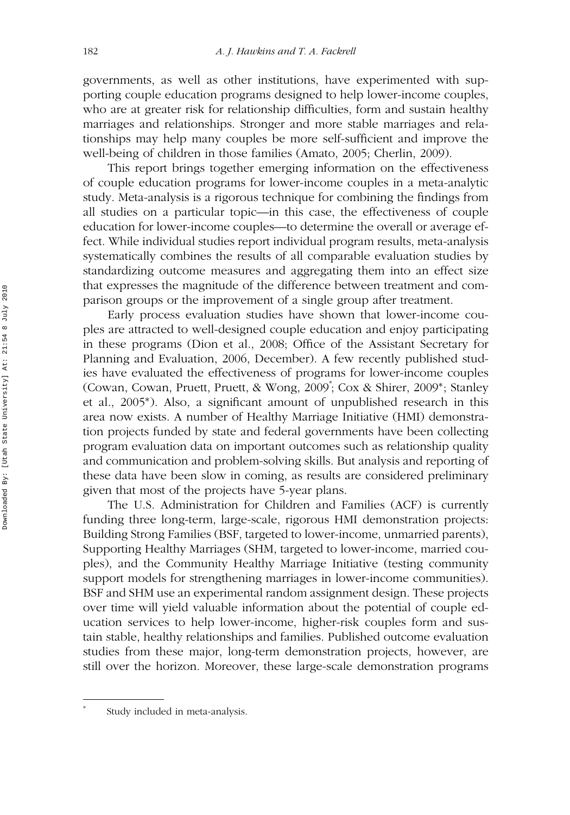governments, as well as other institutions, have experimented with supporting couple education programs designed to help lower-income couples, who are at greater risk for relationship difficulties, form and sustain healthy marriages and relationships. Stronger and more stable marriages and relationships may help many couples be more self-sufficient and improve the well-being of children in those families (Amato, 2005; Cherlin, 2009).

This report brings together emerging information on the effectiveness of couple education programs for lower-income couples in a meta-analytic study. Meta-analysis is a rigorous technique for combining the findings from all studies on a particular topic—in this case, the effectiveness of couple education for lower-income couples—to determine the overall or average effect. While individual studies report individual program results, meta-analysis systematically combines the results of all comparable evaluation studies by standardizing outcome measures and aggregating them into an effect size that expresses the magnitude of the difference between treatment and comparison groups or the improvement of a single group after treatment.

Early process evaluation studies have shown that lower-income couples are attracted to well-designed couple education and enjoy participating in these programs (Dion et al., 2008; Office of the Assistant Secretary for Planning and Evaluation, 2006, December). A few recently published studies have evaluated the effectiveness of programs for lower-income couples (Cowan, Cowan, Pruett, Pruett, & Wong, 2009<sup>∗</sup> ; Cox & Shirer, 2009∗; Stanley et al., 2005∗). Also, a significant amount of unpublished research in this area now exists. A number of Healthy Marriage Initiative (HMI) demonstration projects funded by state and federal governments have been collecting program evaluation data on important outcomes such as relationship quality and communication and problem-solving skills. But analysis and reporting of these data have been slow in coming, as results are considered preliminary given that most of the projects have 5-year plans.

The U.S. Administration for Children and Families (ACF) is currently funding three long-term, large-scale, rigorous HMI demonstration projects: Building Strong Families (BSF, targeted to lower-income, unmarried parents), Supporting Healthy Marriages (SHM, targeted to lower-income, married couples), and the Community Healthy Marriage Initiative (testing community support models for strengthening marriages in lower-income communities). BSF and SHM use an experimental random assignment design. These projects over time will yield valuable information about the potential of couple education services to help lower-income, higher-risk couples form and sustain stable, healthy relationships and families. Published outcome evaluation studies from these major, long-term demonstration projects, however, are still over the horizon. Moreover, these large-scale demonstration programs

∗

Study included in meta-analysis.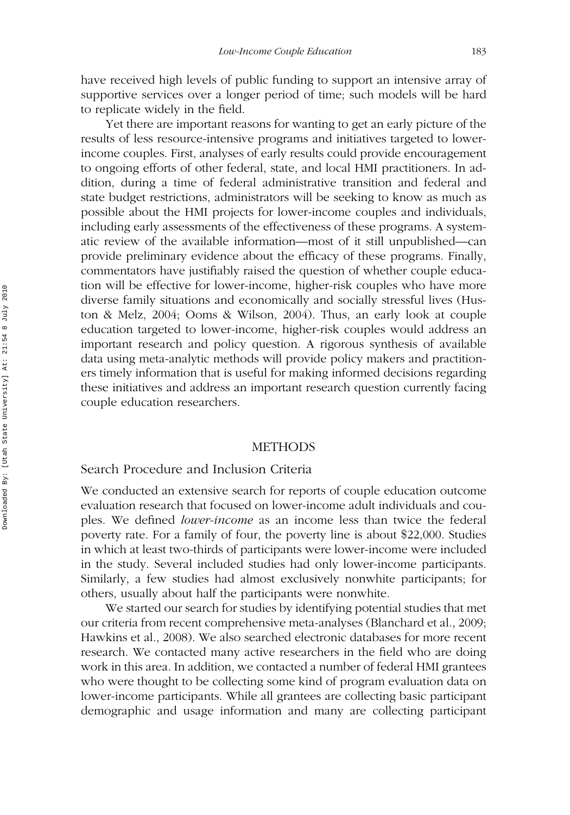have received high levels of public funding to support an intensive array of supportive services over a longer period of time; such models will be hard to replicate widely in the field.

Yet there are important reasons for wanting to get an early picture of the results of less resource-intensive programs and initiatives targeted to lowerincome couples. First, analyses of early results could provide encouragement to ongoing efforts of other federal, state, and local HMI practitioners. In addition, during a time of federal administrative transition and federal and state budget restrictions, administrators will be seeking to know as much as possible about the HMI projects for lower-income couples and individuals, including early assessments of the effectiveness of these programs. A systematic review of the available information—most of it still unpublished—can provide preliminary evidence about the efficacy of these programs. Finally, commentators have justifiably raised the question of whether couple education will be effective for lower-income, higher-risk couples who have more diverse family situations and economically and socially stressful lives (Huston & Melz, 2004; Ooms & Wilson, 2004). Thus, an early look at couple education targeted to lower-income, higher-risk couples would address an important research and policy question. A rigorous synthesis of available data using meta-analytic methods will provide policy makers and practitioners timely information that is useful for making informed decisions regarding these initiatives and address an important research question currently facing couple education researchers.

#### METHODS

#### Search Procedure and Inclusion Criteria

We conducted an extensive search for reports of couple education outcome evaluation research that focused on lower-income adult individuals and couples. We defined *lower-income* as an income less than twice the federal poverty rate. For a family of four, the poverty line is about \$22,000. Studies in which at least two-thirds of participants were lower-income were included in the study. Several included studies had only lower-income participants. Similarly, a few studies had almost exclusively nonwhite participants; for others, usually about half the participants were nonwhite.

We started our search for studies by identifying potential studies that met our criteria from recent comprehensive meta-analyses (Blanchard et al., 2009; Hawkins et al., 2008). We also searched electronic databases for more recent research. We contacted many active researchers in the field who are doing work in this area. In addition, we contacted a number of federal HMI grantees who were thought to be collecting some kind of program evaluation data on lower-income participants. While all grantees are collecting basic participant demographic and usage information and many are collecting participant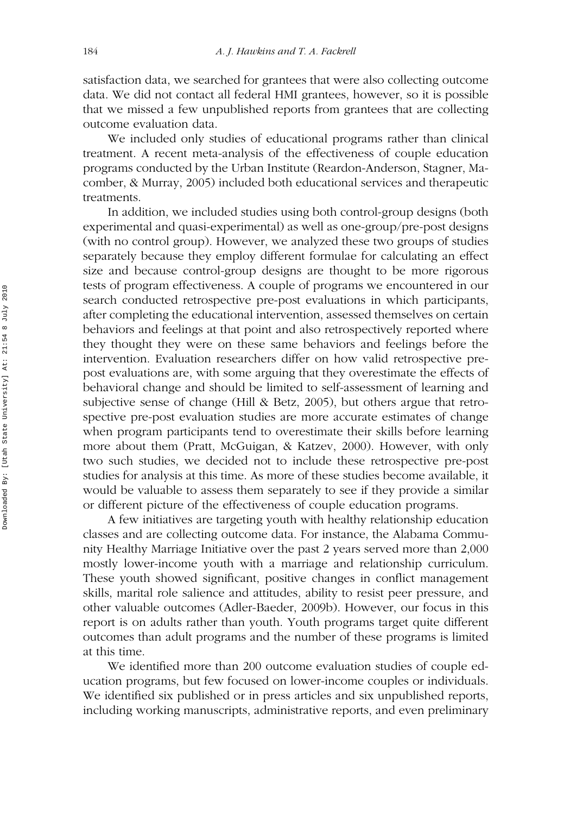satisfaction data, we searched for grantees that were also collecting outcome data. We did not contact all federal HMI grantees, however, so it is possible that we missed a few unpublished reports from grantees that are collecting outcome evaluation data.

We included only studies of educational programs rather than clinical treatment. A recent meta-analysis of the effectiveness of couple education programs conducted by the Urban Institute (Reardon-Anderson, Stagner, Macomber, & Murray, 2005) included both educational services and therapeutic treatments.

In addition, we included studies using both control-group designs (both experimental and quasi-experimental) as well as one-group/pre-post designs (with no control group). However, we analyzed these two groups of studies separately because they employ different formulae for calculating an effect size and because control-group designs are thought to be more rigorous tests of program effectiveness. A couple of programs we encountered in our search conducted retrospective pre-post evaluations in which participants, after completing the educational intervention, assessed themselves on certain behaviors and feelings at that point and also retrospectively reported where they thought they were on these same behaviors and feelings before the intervention. Evaluation researchers differ on how valid retrospective prepost evaluations are, with some arguing that they overestimate the effects of behavioral change and should be limited to self-assessment of learning and subjective sense of change (Hill & Betz, 2005), but others argue that retrospective pre-post evaluation studies are more accurate estimates of change when program participants tend to overestimate their skills before learning more about them (Pratt, McGuigan, & Katzev, 2000). However, with only two such studies, we decided not to include these retrospective pre-post studies for analysis at this time. As more of these studies become available, it would be valuable to assess them separately to see if they provide a similar or different picture of the effectiveness of couple education programs.

A few initiatives are targeting youth with healthy relationship education classes and are collecting outcome data. For instance, the Alabama Community Healthy Marriage Initiative over the past 2 years served more than 2,000 mostly lower-income youth with a marriage and relationship curriculum. These youth showed significant, positive changes in conflict management skills, marital role salience and attitudes, ability to resist peer pressure, and other valuable outcomes (Adler-Baeder, 2009b). However, our focus in this report is on adults rather than youth. Youth programs target quite different outcomes than adult programs and the number of these programs is limited at this time.

We identified more than 200 outcome evaluation studies of couple education programs, but few focused on lower-income couples or individuals. We identified six published or in press articles and six unpublished reports, including working manuscripts, administrative reports, and even preliminary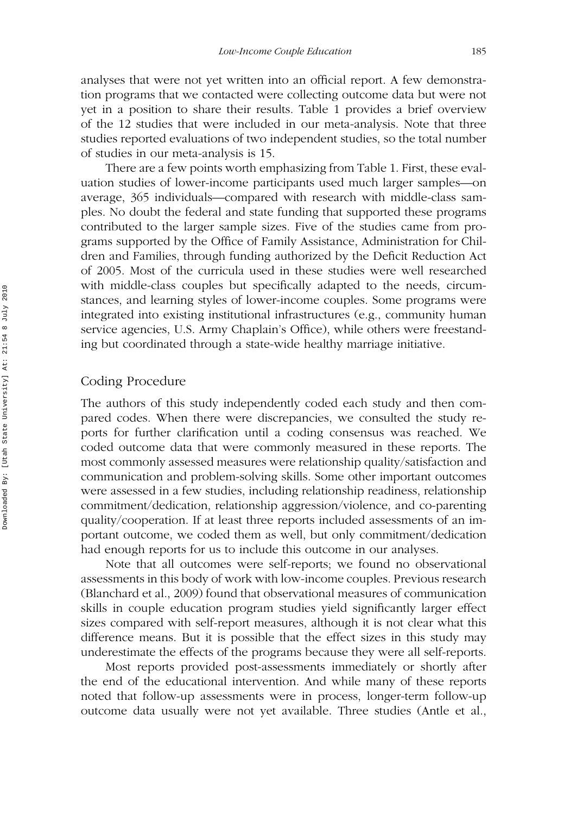analyses that were not yet written into an official report. A few demonstration programs that we contacted were collecting outcome data but were not yet in a position to share their results. Table 1 provides a brief overview of the 12 studies that were included in our meta-analysis. Note that three studies reported evaluations of two independent studies, so the total number of studies in our meta-analysis is 15.

There are a few points worth emphasizing from Table 1. First, these evaluation studies of lower-income participants used much larger samples—on average, 365 individuals—compared with research with middle-class samples. No doubt the federal and state funding that supported these programs contributed to the larger sample sizes. Five of the studies came from programs supported by the Office of Family Assistance, Administration for Children and Families, through funding authorized by the Deficit Reduction Act of 2005. Most of the curricula used in these studies were well researched with middle-class couples but specifically adapted to the needs, circumstances, and learning styles of lower-income couples. Some programs were integrated into existing institutional infrastructures (e.g., community human service agencies, U.S. Army Chaplain's Office), while others were freestanding but coordinated through a state-wide healthy marriage initiative.

#### Coding Procedure

The authors of this study independently coded each study and then compared codes. When there were discrepancies, we consulted the study reports for further clarification until a coding consensus was reached. We coded outcome data that were commonly measured in these reports. The most commonly assessed measures were relationship quality/satisfaction and communication and problem-solving skills. Some other important outcomes were assessed in a few studies, including relationship readiness, relationship commitment/dedication, relationship aggression/violence, and co-parenting quality/cooperation. If at least three reports included assessments of an important outcome, we coded them as well, but only commitment/dedication had enough reports for us to include this outcome in our analyses.

Note that all outcomes were self-reports; we found no observational assessments in this body of work with low-income couples. Previous research (Blanchard et al., 2009) found that observational measures of communication skills in couple education program studies yield significantly larger effect sizes compared with self-report measures, although it is not clear what this difference means. But it is possible that the effect sizes in this study may underestimate the effects of the programs because they were all self-reports.

Most reports provided post-assessments immediately or shortly after the end of the educational intervention. And while many of these reports noted that follow-up assessments were in process, longer-term follow-up outcome data usually were not yet available. Three studies (Antle et al.,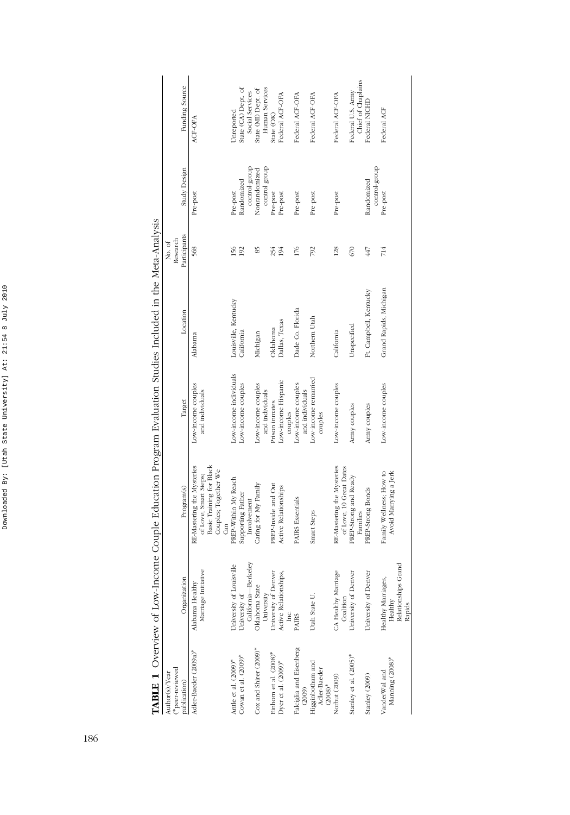| ¢<br>ï<br>r<br>¢<br>¢       |
|-----------------------------|
| ś<br>֚                      |
| í                           |
| ł.<br>l<br>١<br>j<br>i      |
| J<br>ł<br>4<br>l            |
| l<br>۱<br>֚֚֡<br>l<br>Í.    |
| f<br>ļ<br>j<br>Ì<br>ì.<br>l |
| ŕ<br>I.                     |
| ł<br>l                      |
| l                           |

| l                                                           |  |
|-------------------------------------------------------------|--|
| $\begin{array}{c} \begin{array}{c} \end{array} \end{array}$ |  |
| l                                                           |  |
| ׇ֚֘֡                                                        |  |
| $\overline{a}$                                              |  |
| ֕<br>ׅ֘֒                                                    |  |

| peer-reviewed<br>Author(s)/Year                         |                                                                   |                                                                                                                |                                       |                        | Research<br>No. of |                                |                                         |
|---------------------------------------------------------|-------------------------------------------------------------------|----------------------------------------------------------------------------------------------------------------|---------------------------------------|------------------------|--------------------|--------------------------------|-----------------------------------------|
| publication)                                            | Organization                                                      | Program(s)                                                                                                     | Target                                | Location               | Participants       | Study Design                   | Funding Source                          |
| Adler-Baeder (2009a)*                                   | Marriage Initiative<br>Alabama Healthy                            | Basic Training for Black<br>RE-Mastering the Mysteries<br>Couples; Together We<br>of Love; Smart Steps;<br>Can | Low-income couples<br>and individuals | Alabama                | 568                | Pre-post                       | ACF-OFA                                 |
| Antle et al. (2009)*                                    | University of Louisville                                          | PREP-Within My Reach                                                                                           | Low-income individuals                | Louisville, Kentucky   | 156                | Pre-post                       | Unreported                              |
| Cowan et al. (2009)*                                    | California-Berkeley<br>University of                              | Supporting Father<br>Involvement                                                                               | Low-income couples                    | California             | 192                | control-group<br>Randomized    | State (CA) Dept. of<br>Social Services  |
| Cox and Shirer (2009)*                                  | Oklahoma State                                                    | Caring for My Family                                                                                           | Low-income couples<br>and individuals | Michigan               | SS <sub>1</sub>    | control group<br>Nonrandomized | Human Services<br>State (MI) Dept. of   |
| Einhorn et al. (2008)*                                  | University<br>University of Denver                                | PREP-Inside and Out                                                                                            | Prison inmates                        | Oklahoma               | 254                | Pre-post                       | State (OK)                              |
| Dyer et al. $(2009)^*$                                  | Active Relationships,<br>Inc.                                     | Active Relationships                                                                                           | Low-income Hispanic<br>couples        | Dallas, Texas          | 194                | Pre-post                       | Federal ACF-OFA                         |
| Falciglia and Eisenberg                                 | <b>PAIRS</b>                                                      | <b>PAIRS</b> Essentials                                                                                        | Low-income couples<br>and individuals | Dade Co. Florida       | 176                | Pre-post                       | Federal ACF-OFA                         |
| (2009)<br>Higginbotham and<br>Adler-Baeder<br>$(2008)*$ | Utah State U.                                                     | Smart Steps                                                                                                    | Low-income remarried<br>couples       | Northern Utah          | 792                | Pre-post                       | Federal ACF-OFA                         |
| Norbut (2009)                                           | CA Healthy Marriage<br>Coalition                                  | RE-Mastering the Mysteries<br>of Love; 10 Great Dates                                                          | Low-income couples                    | California             | 128                | Pre-post                       | Federal ACF-OFA                         |
| Stanley et al. (2005)*                                  | University of Denver                                              | PREP-Strong and Ready<br>Families                                                                              | Army couples                          | Unspecified            | 670                |                                | Chief of Chaplains<br>Federal U.S. Army |
| Stanley (2009)                                          | University of Denver                                              | PREP-Strong Bonds                                                                                              | Army couples                          | Ft. Campbell, Kentucky | 447                | control-group<br>Randomized    | Federal NICHD                           |
| Manning (2008)*<br>VanderWal and                        | Grand<br>Healthy Marriages,<br>Healthy<br>Relationships<br>Rapids | Family Wellness; How to<br>Avoid Marrying a Jerk                                                               | Low-income couples                    | Grand Rapids, Michigan | 714                | Pre-post                       | Federal ACF                             |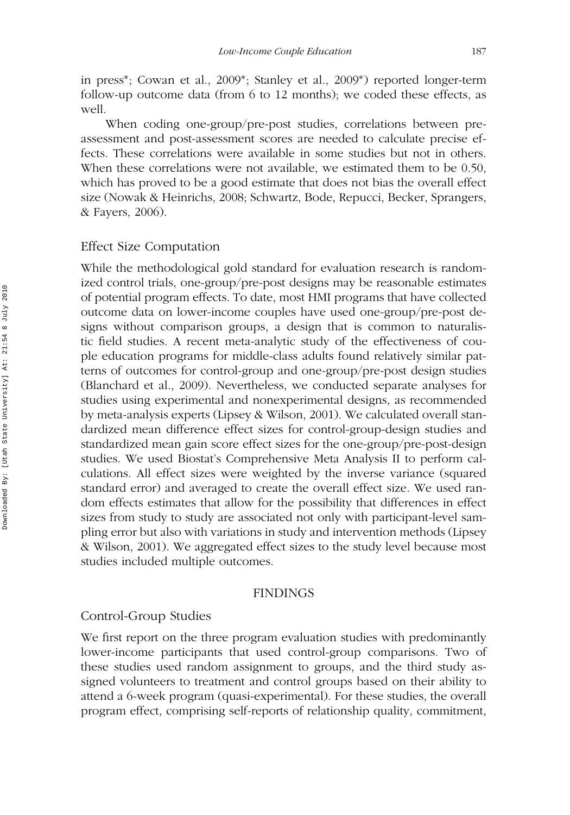in press∗; Cowan et al., 2009∗; Stanley et al., 2009∗) reported longer-term follow-up outcome data (from 6 to 12 months); we coded these effects, as well.

When coding one-group/pre-post studies, correlations between preassessment and post-assessment scores are needed to calculate precise effects. These correlations were available in some studies but not in others. When these correlations were not available, we estimated them to be 0.50, which has proved to be a good estimate that does not bias the overall effect size (Nowak & Heinrichs, 2008; Schwartz, Bode, Repucci, Becker, Sprangers, & Fayers, 2006).

#### Effect Size Computation

While the methodological gold standard for evaluation research is randomized control trials, one-group/pre-post designs may be reasonable estimates of potential program effects. To date, most HMI programs that have collected outcome data on lower-income couples have used one-group/pre-post designs without comparison groups, a design that is common to naturalistic field studies. A recent meta-analytic study of the effectiveness of couple education programs for middle-class adults found relatively similar patterns of outcomes for control-group and one-group/pre-post design studies (Blanchard et al., 2009). Nevertheless, we conducted separate analyses for studies using experimental and nonexperimental designs, as recommended by meta-analysis experts (Lipsey & Wilson, 2001). We calculated overall standardized mean difference effect sizes for control-group-design studies and standardized mean gain score effect sizes for the one-group/pre-post-design studies. We used Biostat's Comprehensive Meta Analysis II to perform calculations. All effect sizes were weighted by the inverse variance (squared standard error) and averaged to create the overall effect size. We used random effects estimates that allow for the possibility that differences in effect sizes from study to study are associated not only with participant-level sampling error but also with variations in study and intervention methods (Lipsey & Wilson, 2001). We aggregated effect sizes to the study level because most studies included multiple outcomes.

#### FINDINGS

#### Control-Group Studies

We first report on the three program evaluation studies with predominantly lower-income participants that used control-group comparisons. Two of these studies used random assignment to groups, and the third study assigned volunteers to treatment and control groups based on their ability to attend a 6-week program (quasi-experimental). For these studies, the overall program effect, comprising self-reports of relationship quality, commitment,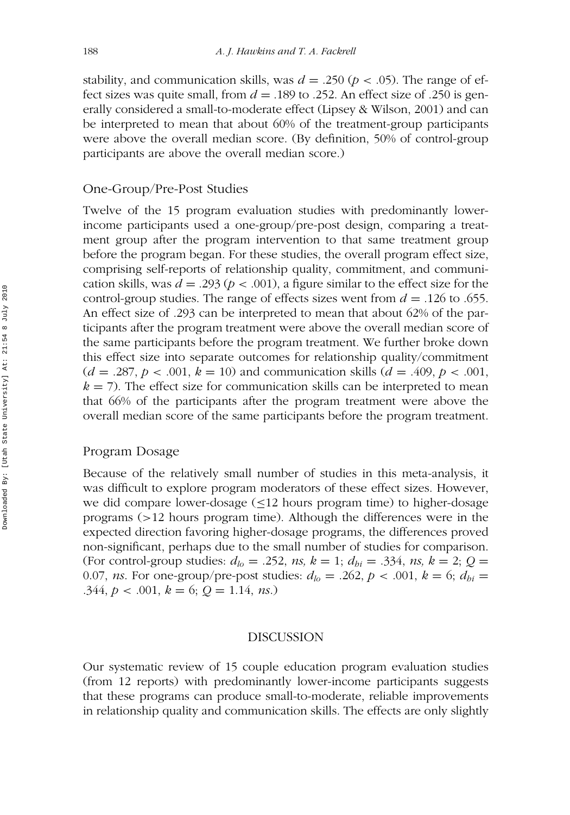stability, and communication skills, was  $d = .250 (p < .05)$ . The range of effect sizes was quite small, from *d* = .189 to .252. An effect size of .250 is generally considered a small-to-moderate effect (Lipsey & Wilson, 2001) and can be interpreted to mean that about 60% of the treatment-group participants were above the overall median score. (By definition, 50% of control-group participants are above the overall median score.)

### One-Group/Pre-Post Studies

Twelve of the 15 program evaluation studies with predominantly lowerincome participants used a one-group/pre-post design, comparing a treatment group after the program intervention to that same treatment group before the program began. For these studies, the overall program effect size, comprising self-reports of relationship quality, commitment, and communication skills, was  $d = .293$  ( $p < .001$ ), a figure similar to the effect size for the control-group studies. The range of effects sizes went from  $d = 0.126$  to .655. An effect size of .293 can be interpreted to mean that about 62% of the participants after the program treatment were above the overall median score of the same participants before the program treatment. We further broke down this effect size into separate outcomes for relationship quality/commitment  $(d = .287, p < .001, k = 10)$  and communication skills  $(d = .409, p < .001,$  $k = 7$ ). The effect size for communication skills can be interpreted to mean that 66% of the participants after the program treatment were above the overall median score of the same participants before the program treatment.

#### Program Dosage

Because of the relatively small number of studies in this meta-analysis, it was difficult to explore program moderators of these effect sizes. However, we did compare lower-dosage  $(\leq 12$  hours program time) to higher-dosage programs (>12 hours program time). Although the differences were in the expected direction favoring higher-dosage programs, the differences proved non-significant, perhaps due to the small number of studies for comparison. (For control-group studies:  $d_{lo} = .252$ , *ns*,  $k = 1$ ;  $d_{bi} = .334$ , *ns*,  $k = 2$ ;  $Q =$ 0.07, *ns*. For one-group/pre-post studies:  $d_{l0} = .262$ ,  $p < .001$ ,  $k = 6$ ;  $d_{bi} =$ .344,  $p < .001$ ,  $k = 6$ ;  $Q = 1.14$ , *ns*.)

#### DISCUSSION

Our systematic review of 15 couple education program evaluation studies (from 12 reports) with predominantly lower-income participants suggests that these programs can produce small-to-moderate, reliable improvements in relationship quality and communication skills. The effects are only slightly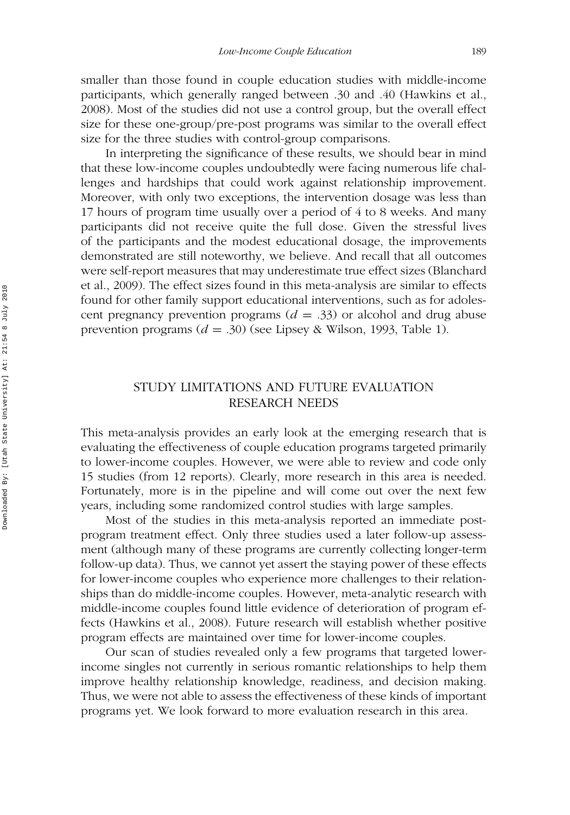smaller than those found in couple education studies with middle-income participants, which generally ranged between .30 and .40 (Hawkins et al., 2008). Most of the studies did not use a control group, but the overall effect size for these one-group/pre-post programs was similar to the overall effect size for the three studies with control-group comparisons.

In interpreting the significance of these results, we should bear in mind that these low-income couples undoubtedly were facing numerous life challenges and hardships that could work against relationship improvement. Moreover, with only two exceptions, the intervention dosage was less than 17 hours of program time usually over a period of 4 to 8 weeks. And many participants did not receive quite the full dose. Given the stressful lives of the participants and the modest educational dosage, the improvements demonstrated are still noteworthy, we believe. And recall that all outcomes were self-report measures that may underestimate true effect sizes (Blanchard et al., 2009). The effect sizes found in this meta-analysis are similar to effects found for other family support educational interventions, such as for adolescent pregnancy prevention programs  $(d = .33)$  or alcohol and drug abuse prevention programs (*d* = .30) (see Lipsey & Wilson, 1993, Table 1).

### STUDY LIMITATIONS AND FUTURE EVALUATION RESEARCH NEEDS

This meta-analysis provides an early look at the emerging research that is evaluating the effectiveness of couple education programs targeted primarily to lower-income couples. However, we were able to review and code only 15 studies (from 12 reports). Clearly, more research in this area is needed. Fortunately, more is in the pipeline and will come out over the next few years, including some randomized control studies with large samples.

Most of the studies in this meta-analysis reported an immediate postprogram treatment effect. Only three studies used a later follow-up assessment (although many of these programs are currently collecting longer-term follow-up data). Thus, we cannot yet assert the staying power of these effects for lower-income couples who experience more challenges to their relationships than do middle-income couples. However, meta-analytic research with middle-income couples found little evidence of deterioration of program effects (Hawkins et al., 2008). Future research will establish whether positive program effects are maintained over time for lower-income couples.

Our scan of studies revealed only a few programs that targeted lowerincome singles not currently in serious romantic relationships to help them improve healthy relationship knowledge, readiness, and decision making. Thus, we were not able to assess the effectiveness of these kinds of important programs yet. We look forward to more evaluation research in this area.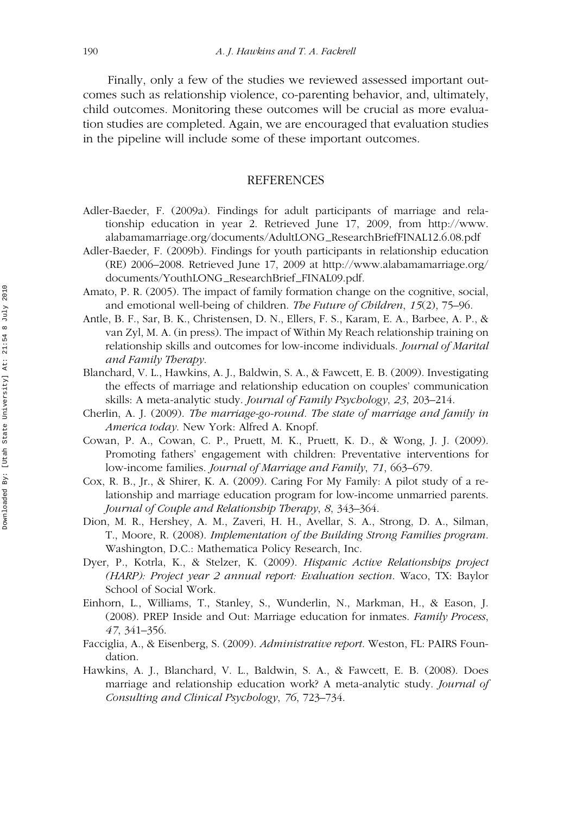Finally, only a few of the studies we reviewed assessed important outcomes such as relationship violence, co-parenting behavior, and, ultimately, child outcomes. Monitoring these outcomes will be crucial as more evaluation studies are completed. Again, we are encouraged that evaluation studies in the pipeline will include some of these important outcomes.

#### REFERENCES

- Adler-Baeder, F. (2009a). Findings for adult participants of marriage and relationship education in year 2. Retrieved June 17, 2009, from http://www. alabamamarriage.org/documents/AdultLONG\_ResearchBriefFINAL12.6.08.pdf
- Adler-Baeder, F. (2009b). Findings for youth participants in relationship education (RE) 2006–2008. Retrieved June 17, 2009 at http://www.alabamamarriage.org/ documents/YouthLONG\_ResearchBrief\_FINAL09.pdf.
- Amato, P. R. (2005). The impact of family formation change on the cognitive, social, and emotional well-being of children. *The Future of Children*, *15*(2), 75–96.
- Antle, B. F., Sar, B. K., Christensen, D. N., Ellers, F. S., Karam, E. A., Barbee, A. P., & van Zyl, M. A. (in press). The impact of Within My Reach relationship training on relationship skills and outcomes for low-income individuals. *Journal of Marital and Family Therapy*.
- Blanchard, V. L., Hawkins, A. J., Baldwin, S. A., & Fawcett, E. B. (2009). Investigating the effects of marriage and relationship education on couples' communication skills: A meta-analytic study. *Journal of Family Psychology*, *23*, 203–214.
- Cherlin, A. J. (2009). *The marriage-go-round. The state of marriage and family in America today*. New York: Alfred A. Knopf.
- Cowan, P. A., Cowan, C. P., Pruett, M. K., Pruett, K. D., & Wong, J. J. (2009). Promoting fathers' engagement with children: Preventative interventions for low-income families. *Journal of Marriage and Family*, *71*, 663–679.
- Cox, R. B., Jr., & Shirer, K. A. (2009). Caring For My Family: A pilot study of a relationship and marriage education program for low-income unmarried parents. *Journal of Couple and Relationship Therapy*, *8*, 343–364.
- Dion, M. R., Hershey, A. M., Zaveri, H. H., Avellar, S. A., Strong, D. A., Silman, T., Moore, R. (2008). *Implementation of the Building Strong Families program*. Washington, D.C.: Mathematica Policy Research, Inc.
- Dyer, P., Kotrla, K., & Stelzer, K. (2009). *Hispanic Active Relationships project (HARP): Project year 2 annual report: Evaluation section*. Waco, TX: Baylor School of Social Work.
- Einhorn, L., Williams, T., Stanley, S., Wunderlin, N., Markman, H., & Eason, J. (2008). PREP Inside and Out: Marriage education for inmates. *Family Process*, *47*, 341–356.
- Facciglia, A., & Eisenberg, S. (2009). *Administrative report*. Weston, FL: PAIRS Foundation.
- Hawkins, A. J., Blanchard, V. L., Baldwin, S. A., & Fawcett, E. B. (2008). Does marriage and relationship education work? A meta-analytic study. *Journal of Consulting and Clinical Psychology*, *76*, 723–734.